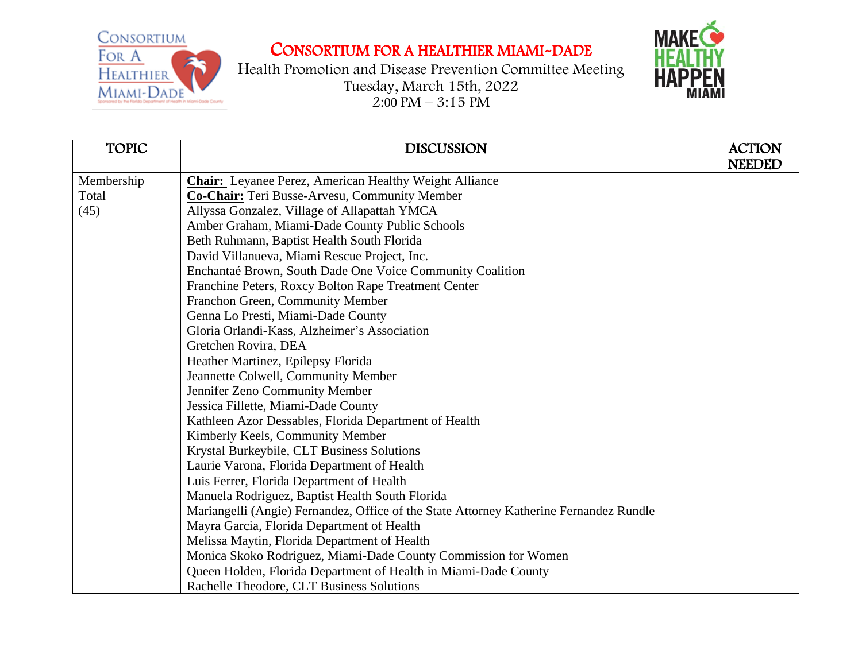CONSORTIUM FOR A **HEALTHIER** MIAMI-DADE

## CONSORTIUM FOR A HEALTHIER MIAMI-DADE



| <b>TOPIC</b> | <b>DISCUSSION</b>                                                                      | <b>ACTION</b><br><b>NEEDED</b> |
|--------------|----------------------------------------------------------------------------------------|--------------------------------|
| Membership   | <b>Chair:</b> Leyanee Perez, American Healthy Weight Alliance                          |                                |
| Total        | Co-Chair: Teri Busse-Arvesu, Community Member                                          |                                |
| (45)         | Allyssa Gonzalez, Village of Allapattah YMCA                                           |                                |
|              |                                                                                        |                                |
|              | Amber Graham, Miami-Dade County Public Schools                                         |                                |
|              | Beth Ruhmann, Baptist Health South Florida                                             |                                |
|              | David Villanueva, Miami Rescue Project, Inc.                                           |                                |
|              | Enchantaé Brown, South Dade One Voice Community Coalition                              |                                |
|              | Franchine Peters, Roxcy Bolton Rape Treatment Center                                   |                                |
|              | Franchon Green, Community Member                                                       |                                |
|              | Genna Lo Presti, Miami-Dade County                                                     |                                |
|              | Gloria Orlandi-Kass, Alzheimer's Association                                           |                                |
|              | Gretchen Rovira, DEA                                                                   |                                |
|              | Heather Martinez, Epilepsy Florida                                                     |                                |
|              | Jeannette Colwell, Community Member                                                    |                                |
|              | Jennifer Zeno Community Member                                                         |                                |
|              | Jessica Fillette, Miami-Dade County                                                    |                                |
|              | Kathleen Azor Dessables, Florida Department of Health                                  |                                |
|              | Kimberly Keels, Community Member                                                       |                                |
|              | Krystal Burkeybile, CLT Business Solutions                                             |                                |
|              | Laurie Varona, Florida Department of Health                                            |                                |
|              | Luis Ferrer, Florida Department of Health                                              |                                |
|              | Manuela Rodriguez, Baptist Health South Florida                                        |                                |
|              | Mariangelli (Angie) Fernandez, Office of the State Attorney Katherine Fernandez Rundle |                                |
|              | Mayra Garcia, Florida Department of Health                                             |                                |
|              | Melissa Maytin, Florida Department of Health                                           |                                |
|              | Monica Skoko Rodriguez, Miami-Dade County Commission for Women                         |                                |
|              | Queen Holden, Florida Department of Health in Miami-Dade County                        |                                |
|              | Rachelle Theodore, CLT Business Solutions                                              |                                |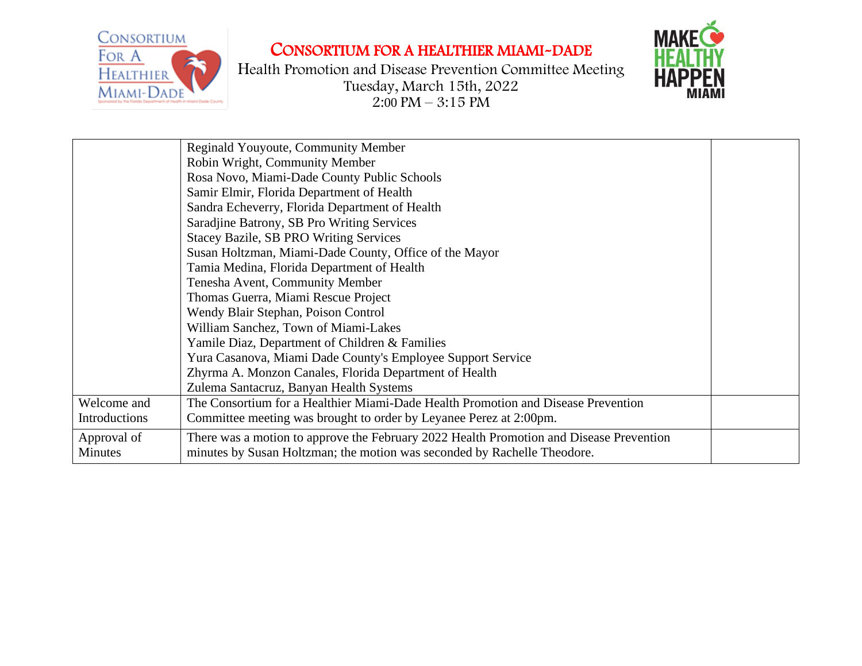

## CONSORTIUM FOR A HEALTHIER MIAMI-DADE



|                | Reginald Youyoute, Community Member                                                     |
|----------------|-----------------------------------------------------------------------------------------|
|                | Robin Wright, Community Member                                                          |
|                |                                                                                         |
|                | Rosa Novo, Miami-Dade County Public Schools                                             |
|                | Samir Elmir, Florida Department of Health                                               |
|                | Sandra Echeverry, Florida Department of Health                                          |
|                | Saradjine Batrony, SB Pro Writing Services                                              |
|                | <b>Stacey Bazile, SB PRO Writing Services</b>                                           |
|                | Susan Holtzman, Miami-Dade County, Office of the Mayor                                  |
|                | Tamia Medina, Florida Department of Health                                              |
|                | Tenesha Avent, Community Member                                                         |
|                | Thomas Guerra, Miami Rescue Project                                                     |
|                | Wendy Blair Stephan, Poison Control                                                     |
|                | William Sanchez, Town of Miami-Lakes                                                    |
|                | Yamile Diaz, Department of Children & Families                                          |
|                | Yura Casanova, Miami Dade County's Employee Support Service                             |
|                | Zhyrma A. Monzon Canales, Florida Department of Health                                  |
|                | Zulema Santacruz, Banyan Health Systems                                                 |
| Welcome and    | The Consortium for a Healthier Miami-Dade Health Promotion and Disease Prevention       |
| Introductions  | Committee meeting was brought to order by Leyanee Perez at 2:00pm.                      |
| Approval of    | There was a motion to approve the February 2022 Health Promotion and Disease Prevention |
| <b>Minutes</b> | minutes by Susan Holtzman; the motion was seconded by Rachelle Theodore.                |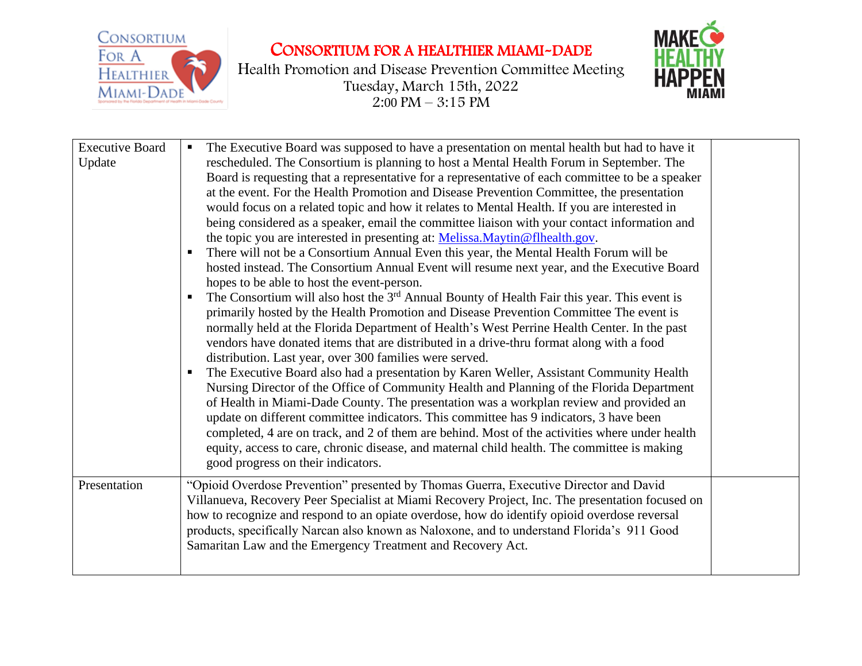

## CONSORTIUM FOR A HEALTHIER MIAMI-DADE



|                                  | Е                                                                                                                                                                                                                                                                                                                                                                                                                                                                                                                                                                                                                                                                                                                                                                                                                                                                                                                                                                                                                                                                                                                                                                                                                                                                                                                                                                                                                                                                                                                                                                                                                                                                                                                                                                                                                                                                                                                                                                                         |  |
|----------------------------------|-------------------------------------------------------------------------------------------------------------------------------------------------------------------------------------------------------------------------------------------------------------------------------------------------------------------------------------------------------------------------------------------------------------------------------------------------------------------------------------------------------------------------------------------------------------------------------------------------------------------------------------------------------------------------------------------------------------------------------------------------------------------------------------------------------------------------------------------------------------------------------------------------------------------------------------------------------------------------------------------------------------------------------------------------------------------------------------------------------------------------------------------------------------------------------------------------------------------------------------------------------------------------------------------------------------------------------------------------------------------------------------------------------------------------------------------------------------------------------------------------------------------------------------------------------------------------------------------------------------------------------------------------------------------------------------------------------------------------------------------------------------------------------------------------------------------------------------------------------------------------------------------------------------------------------------------------------------------------------------------|--|
| <b>Executive Board</b><br>Update | The Executive Board was supposed to have a presentation on mental health but had to have it<br>rescheduled. The Consortium is planning to host a Mental Health Forum in September. The<br>Board is requesting that a representative for a representative of each committee to be a speaker<br>at the event. For the Health Promotion and Disease Prevention Committee, the presentation<br>would focus on a related topic and how it relates to Mental Health. If you are interested in<br>being considered as a speaker, email the committee liaison with your contact information and<br>the topic you are interested in presenting at: Melissa.Maytin@flhealth.gov.<br>There will not be a Consortium Annual Even this year, the Mental Health Forum will be<br>hosted instead. The Consortium Annual Event will resume next year, and the Executive Board<br>hopes to be able to host the event-person.<br>The Consortium will also host the $3rd$ Annual Bounty of Health Fair this year. This event is<br>Е<br>primarily hosted by the Health Promotion and Disease Prevention Committee The event is<br>normally held at the Florida Department of Health's West Perrine Health Center. In the past<br>vendors have donated items that are distributed in a drive-thru format along with a food<br>distribution. Last year, over 300 families were served.<br>The Executive Board also had a presentation by Karen Weller, Assistant Community Health<br>п<br>Nursing Director of the Office of Community Health and Planning of the Florida Department<br>of Health in Miami-Dade County. The presentation was a workplan review and provided an<br>update on different committee indicators. This committee has 9 indicators, 3 have been<br>completed, 4 are on track, and 2 of them are behind. Most of the activities where under health<br>equity, access to care, chronic disease, and maternal child health. The committee is making<br>good progress on their indicators. |  |
| Presentation                     | "Opioid Overdose Prevention" presented by Thomas Guerra, Executive Director and David<br>Villanueva, Recovery Peer Specialist at Miami Recovery Project, Inc. The presentation focused on<br>how to recognize and respond to an opiate overdose, how do identify opioid overdose reversal<br>products, specifically Narcan also known as Naloxone, and to understand Florida's 911 Good<br>Samaritan Law and the Emergency Treatment and Recovery Act.                                                                                                                                                                                                                                                                                                                                                                                                                                                                                                                                                                                                                                                                                                                                                                                                                                                                                                                                                                                                                                                                                                                                                                                                                                                                                                                                                                                                                                                                                                                                    |  |